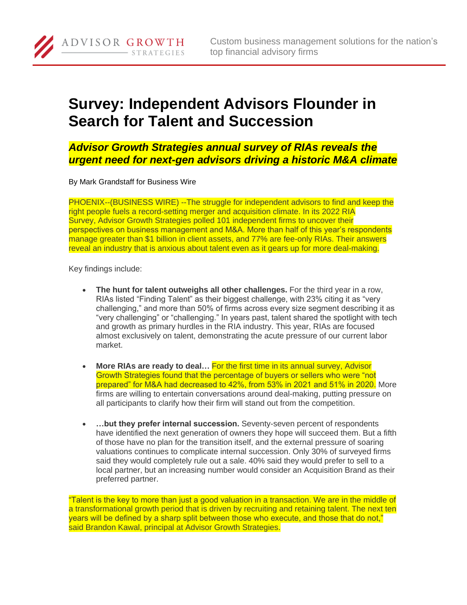## **Survey: Independent Advisors Flounder in Search for Talent and Succession**

*Advisor Growth Strategies annual survey of RIAs reveals the urgent need for next-gen advisors driving a historic M&A climate*

By Mark Grandstaff for Business Wire

ADVISOR GROWTH

**STRATEGIES** 

PHOENIX--(BUSINESS WIRE) --The struggle for independent advisors to find and keep the right people fuels a record-setting merger and acquisition climate. In its 2022 RIA Survey, Advisor Growth Strategies polled 101 independent firms to uncover their perspectives on business management and M&A. More than half of this year's respondents manage greater than \$1 billion in client assets, and 77% are fee-only RIAs. Their answers reveal an industry that is anxious about talent even as it gears up for more deal-making.

Key findings include:

- **The hunt for talent outweighs all other challenges.** For the third year in a row, RIAs listed "Finding Talent" as their biggest challenge, with 23% citing it as "very challenging," and more than 50% of firms across every size segment describing it as "very challenging" or "challenging." In years past, talent shared the spotlight with tech and growth as primary hurdles in the RIA industry. This year, RIAs are focused almost exclusively on talent, demonstrating the acute pressure of our current labor market.
- **More RIAs are ready to deal…** For the first time in its annual survey, Advisor Growth Strategies found that the percentage of buyers or sellers who were "not prepared" for M&A had decreased to 42%, from 53% in 2021 and 51% in 2020. More firms are willing to entertain conversations around deal-making, putting pressure on all participants to clarify how their firm will stand out from the competition.
- **…but they prefer internal succession.** Seventy-seven percent of respondents have identified the next generation of owners they hope will succeed them. But a fifth of those have no plan for the transition itself, and the external pressure of soaring valuations continues to complicate internal succession. Only 30% of surveyed firms said they would completely rule out a sale. 40% said they would prefer to sell to a local partner, but an increasing number would consider an Acquisition Brand as their preferred partner.

"Talent is the key to more than just a good valuation in a transaction. We are in the middle of a transformational growth period that is driven by recruiting and retaining talent. The next ten years will be defined by a sharp split between those who execute, and those that do not," said Brandon Kawal, principal at Advisor Growth Strategies.